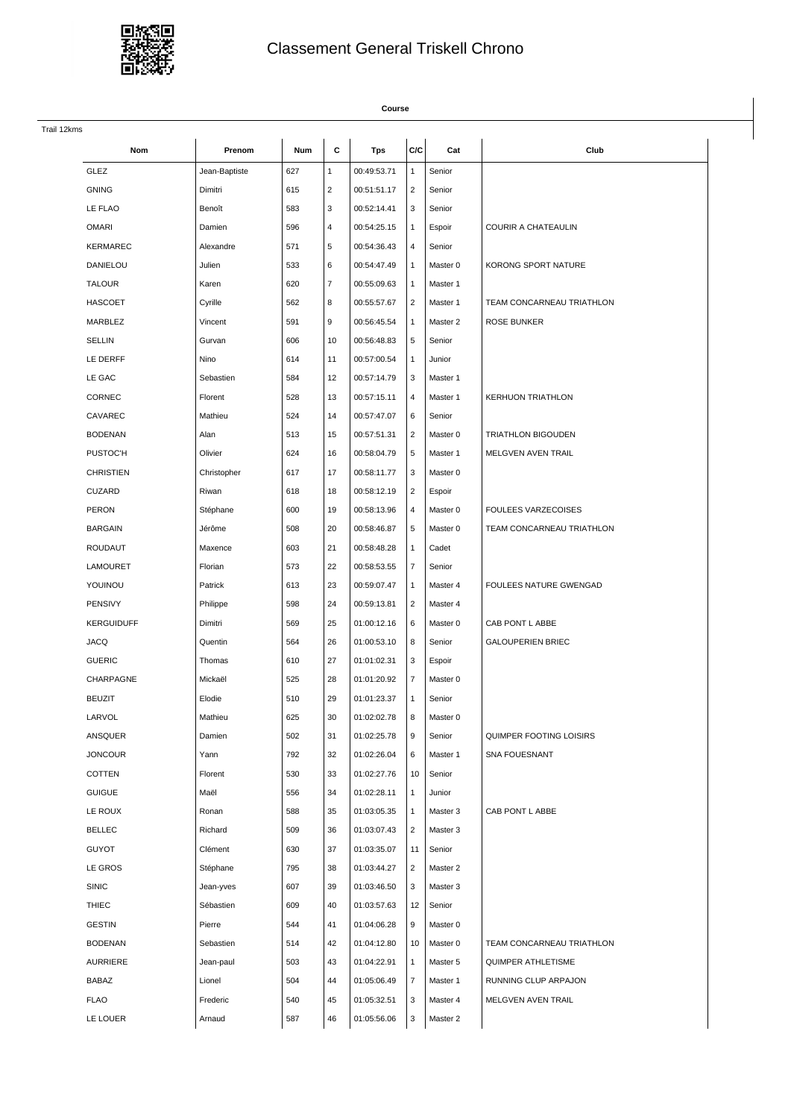

## Classement General Triskell Chrono

## **Course** Trail 12kms **Nom Prenom Num C Tps C/C Cat Club** GLEZ 3.000 | Jean-Baptiste | 627 | 1 | 00:49:53.71 | 1 | Senior GNING | Dimitri | 615 | 2 | 00:51:51.17 | 2 | Senior LE FLAO Benoît 583 3 00:52:14.41 3 Senior OMARI Damien 596 4 00:54:25.15 1 Espoir COURIR A CHATEAULIN KERMAREC Alexandre  $\begin{array}{|c|c|c|c|c|c|}\n\hline\n86005436.43 & 4\n\end{array}$  Senior DANIELOU Julien 533 6 00:54:47.49 1 Master 0 KORONG SPORT NATURE TALOUR | Karen | 620 | 7 | 00:55:09.63 | 1 | Master 1 HASCOET Cyrille 562 8 00:55:57.67 2 Master 1 TEAM CONCARNEAU TRIATHLON MARBLEZ Vincent 591 9 00:56:45.54 1 Master 2 ROSE BUNKER SELLIN Gurvan 606 10 00:56:48.83 5 Senior LE DERFF Nino 614 11 00:57:00.54 1 Junior LE GAC Sebastien 584 12 00:57:14.79 3 Master 1 CORNEC Florent 528 13 00:57:15.11 4 Master 1 KERHUON TRIATHLON CAVAREC Mathieu 524 14 00:57:47.07 6 Senior BODENAN Alan 513 15 00:57:51.31 2 Master 0 TRIATHLON BIGOUDEN PUSTOC'H COlivier 624 16 00:58:04.79 5 Master 1 MELGVEN AVEN TRAIL CHRISTIEN Christopher 617 17 00:58:11.77 3 Master 0 CUZARD Riwan 618 18 00:58:12.19 2 Espoir PERON Stéphane 600 19 00:58:13.96 4 Master 0 FOULEES VARZECOISES BARGAIN Jérôme 508 20 00:58:46.87 5 Master 0 TEAM CONCARNEAU TRIATHLON ROUDAUT | Maxence | 603 | 21 | 00:58:48.28 | 1 | Cadet LAMOURET Florian 573 22 00:58:53.55 7 Senior YOUINOU Patrick 613 23 00:59:07.47 1 Master 4 FOULEES NATURE GWENGAD PENSIVY | Philippe | 598 | 24 | 00:59:13.81 | 2 | Master 4 KERGUIDUFF Dimitri | 569 25 01:00:12.16 6 Master 0 CAB PONT LABBE JACQ Quentin 564 26 01:00:53.10 8 Senior GALOUPERIEN BRIEC GUERIC | Thomas | 610 | 27 | 01:01:02.31 | 3 | Espoir CHARPAGNE Mickaël 525 28 01:01:20.92 7 Master 0 BEUZIT Elodie 510 29 01:01:23.37 1 Senior LARVOL Mathieu 625 30 01:02:02.78 8 Master 0 ANSQUER Damien 502 31 01:02:25.78 9 Senior QUIMPER FOOTING LOISIRS JONCOUR Yann 792 32 01:02:26.04 6 Master 1 SNA FOUESNANT COTTEN | Florent | 530 | 33 | 01:02:27.76 | 10 | Senior GUIGUE Maël 556 34 01:02:28.11 1 Junior LE ROUX | Ronan | 588 | 35 | 01:03:05.35 | 1 | Master 3 | CAB PONT L ABBE BELLEC **Richard Richard** 509 36 01:03:07.43 2 Master 3 GUYOT  $\vert$  Clément  $\vert$  630  $\vert$  37  $\vert$  01:03:35.07  $\vert$  11  $\vert$  Senior LE GROS Stéphane 795 38 01:03:44.27 2 Master 2 SINIC 39 01:03:46.50 3 Master 3 THIEC Sébastien 609 40 01:03:57.63 12 Senior GESTIN | Pierre | 544 41 01:04:06.28 9 Master 0 BODENAN Sebastien 514 42 01:04:12.80 10 Master 0 TEAM CONCARNEAU TRIATHLON AURRIERE Jean-paul 503 43 01:04:22.91 1 Master 5 QUIMPER ATHLETISME BABAZ Lionel 504 44 01:05:06.49 7 Master 1 RUNNING CLUP ARPAJON FLAO Frederic 540 45 01:05:32.51 3 Master 4 MELGVEN AVEN TRAIL LE LOUER | Arnaud | 587 | 46 | 01:05:56.06 | 3 | Master 2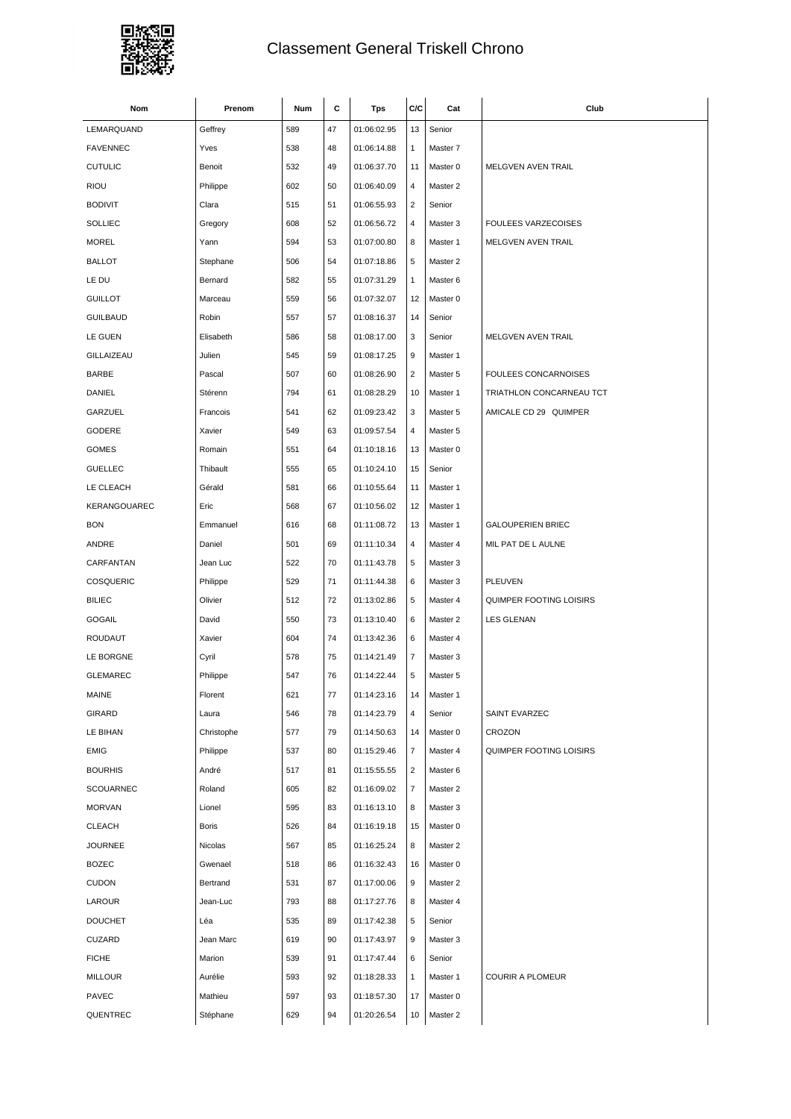

## Classement General Triskell Chrono

| Nom             | Prenom     | Num | С  | <b>Tps</b>  | C/C            | Cat      | Club                        |
|-----------------|------------|-----|----|-------------|----------------|----------|-----------------------------|
| LEMARQUAND      | Geffrey    | 589 | 47 | 01:06:02.95 | 13             | Senior   |                             |
| <b>FAVENNEC</b> | Yves       | 538 | 48 | 01:06:14.88 | $\mathbf{1}$   | Master 7 |                             |
| <b>CUTULIC</b>  | Benoit     | 532 | 49 | 01:06:37.70 | 11             | Master 0 | MELGVEN AVEN TRAIL          |
| <b>RIOU</b>     | Philippe   | 602 | 50 | 01:06:40.09 | 4              | Master 2 |                             |
| <b>BODIVIT</b>  | Clara      | 515 | 51 | 01:06:55.93 | $\overline{2}$ | Senior   |                             |
| <b>SOLLIEC</b>  | Gregory    | 608 | 52 | 01:06:56.72 | $\overline{4}$ | Master 3 | <b>FOULEES VARZECOISES</b>  |
| <b>MOREL</b>    | Yann       | 594 | 53 | 01:07:00.80 | 8              | Master 1 | MELGVEN AVEN TRAIL          |
| <b>BALLOT</b>   | Stephane   | 506 | 54 | 01:07:18.86 | 5              | Master 2 |                             |
| LE DU           | Bernard    | 582 | 55 | 01:07:31.29 | $\mathbf{1}$   | Master 6 |                             |
| <b>GUILLOT</b>  | Marceau    | 559 | 56 | 01:07:32.07 | 12             | Master 0 |                             |
| <b>GUILBAUD</b> | Robin      | 557 | 57 | 01:08:16.37 | 14             | Senior   |                             |
| LE GUEN         | Elisabeth  | 586 | 58 | 01:08:17.00 | 3              | Senior   | MELGVEN AVEN TRAIL          |
| GILLAIZEAU      | Julien     | 545 | 59 | 01:08:17.25 | 9              | Master 1 |                             |
| <b>BARBE</b>    | Pascal     | 507 | 60 | 01:08:26.90 | $\overline{2}$ | Master 5 | <b>FOULEES CONCARNOISES</b> |
| DANIEL          | Stérenn    | 794 | 61 | 01:08:28.29 | 10             | Master 1 | TRIATHLON CONCARNEAU TCT    |
| GARZUEL         | Francois   | 541 | 62 | 01:09:23.42 | 3              | Master 5 | AMICALE CD 29 QUIMPER       |
| GODERE          | Xavier     | 549 | 63 | 01:09:57.54 | 4              | Master 5 |                             |
| <b>GOMES</b>    | Romain     | 551 | 64 | 01:10:18.16 | 13             | Master 0 |                             |
| <b>GUELLEC</b>  | Thibault   | 555 | 65 | 01:10:24.10 | 15             | Senior   |                             |
| LE CLEACH       | Gérald     | 581 | 66 | 01:10:55.64 | 11             | Master 1 |                             |
| KERANGOUAREC    | Eric       | 568 | 67 | 01:10:56.02 | 12             | Master 1 |                             |
| <b>BON</b>      | Emmanuel   | 616 | 68 | 01:11:08.72 | 13             | Master 1 | <b>GALOUPERIEN BRIEC</b>    |
| ANDRE           | Daniel     | 501 | 69 | 01:11:10.34 | 4              | Master 4 | MIL PAT DE L AULNE          |
| CARFANTAN       | Jean Luc   | 522 | 70 | 01:11:43.78 | 5              | Master 3 |                             |
| COSQUERIC       | Philippe   | 529 | 71 | 01:11:44.38 | 6              | Master 3 | PLEUVEN                     |
| <b>BILIEC</b>   | Olivier    | 512 | 72 | 01:13:02.86 | 5              | Master 4 | QUIMPER FOOTING LOISIRS     |
| <b>GOGAIL</b>   | David      | 550 | 73 | 01:13:10.40 | 6              | Master 2 | <b>LES GLENAN</b>           |
| ROUDAUT         | Xavier     | 604 | 74 | 01:13:42.36 | 6              | Master 4 |                             |
| LE BORGNE       | Cyril      | 578 | 75 | 01:14:21.49 | 7              | Master 3 |                             |
| <b>GLEMAREC</b> | Philippe   | 547 | 76 | 01:14:22.44 | 5              | Master 5 |                             |
| MAINE           | Florent    | 621 | 77 | 01:14:23.16 | 14             | Master 1 |                             |
| GIRARD          | Laura      | 546 | 78 | 01:14:23.79 | 4              | Senior   | SAINT EVARZEC               |
| LE BIHAN        | Christophe | 577 | 79 | 01:14:50.63 | 14             | Master 0 | CROZON                      |
| EMIG            | Philippe   | 537 | 80 | 01:15:29.46 | 7              | Master 4 | QUIMPER FOOTING LOISIRS     |
| <b>BOURHIS</b>  | André      | 517 | 81 | 01:15:55.55 | $\overline{2}$ | Master 6 |                             |
| SCOUARNEC       | Roland     | 605 | 82 | 01:16:09.02 | 7              | Master 2 |                             |
| <b>MORVAN</b>   | Lionel     | 595 | 83 | 01:16:13.10 | 8              | Master 3 |                             |
| <b>CLEACH</b>   | Boris      | 526 | 84 | 01:16:19.18 | 15             | Master 0 |                             |
| <b>JOURNEE</b>  | Nicolas    | 567 | 85 | 01:16:25.24 | 8              | Master 2 |                             |
| <b>BOZEC</b>    | Gwenael    | 518 | 86 | 01:16:32.43 | 16             | Master 0 |                             |
| <b>CUDON</b>    | Bertrand   | 531 | 87 | 01:17:00.06 | 9              | Master 2 |                             |
| LAROUR          | Jean-Luc   | 793 | 88 | 01:17:27.76 | 8              | Master 4 |                             |
| <b>DOUCHET</b>  | Léa        | 535 | 89 | 01:17:42.38 | 5              | Senior   |                             |
| CUZARD          | Jean Marc  | 619 | 90 | 01:17:43.97 | 9              | Master 3 |                             |
| <b>FICHE</b>    | Marion     | 539 | 91 | 01:17:47.44 | 6              | Senior   |                             |
| <b>MILLOUR</b>  | Aurélie    | 593 | 92 | 01:18:28.33 | $\mathbf{1}$   | Master 1 | <b>COURIR A PLOMEUR</b>     |
| PAVEC           | Mathieu    | 597 | 93 | 01:18:57.30 | 17             | Master 0 |                             |
| QUENTREC        | Stéphane   | 629 | 94 | 01:20:26.54 | 10             | Master 2 |                             |